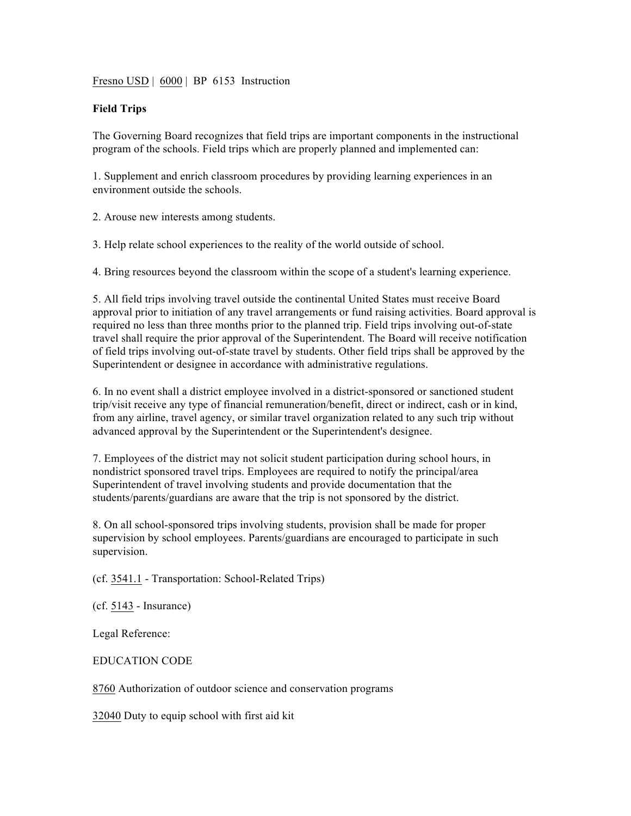Fresno USD | 6000 | BP 6153 Instruction

## **Field Trips**

The Governing Board recognizes that field trips are important components in the instructional program of the schools. Field trips which are properly planned and implemented can:

1. Supplement and enrich classroom procedures by providing learning experiences in an environment outside the schools.

2. Arouse new interests among students.

3. Help relate school experiences to the reality of the world outside of school.

4. Bring resources beyond the classroom within the scope of a student's learning experience.

5. All field trips involving travel outside the continental United States must receive Board approval prior to initiation of any travel arrangements or fund raising activities. Board approval is required no less than three months prior to the planned trip. Field trips involving out-of-state travel shall require the prior approval of the Superintendent. The Board will receive notification of field trips involving out-of-state travel by students. Other field trips shall be approved by the Superintendent or designee in accordance with administrative regulations.

6. In no event shall a district employee involved in a district-sponsored or sanctioned student trip/visit receive any type of financial remuneration/benefit, direct or indirect, cash or in kind, from any airline, travel agency, or similar travel organization related to any such trip without advanced approval by the Superintendent or the Superintendent's designee.

7. Employees of the district may not solicit student participation during school hours, in nondistrict sponsored travel trips. Employees are required to notify the principal/area Superintendent of travel involving students and provide documentation that the students/parents/guardians are aware that the trip is not sponsored by the district.

8. On all school-sponsored trips involving students, provision shall be made for proper supervision by school employees. Parents/guardians are encouraged to participate in such supervision.

(cf. 3541.1 - Transportation: School-Related Trips)

(cf. 5143 - Insurance)

Legal Reference:

EDUCATION CODE

8760 Authorization of outdoor science and conservation programs

32040 Duty to equip school with first aid kit